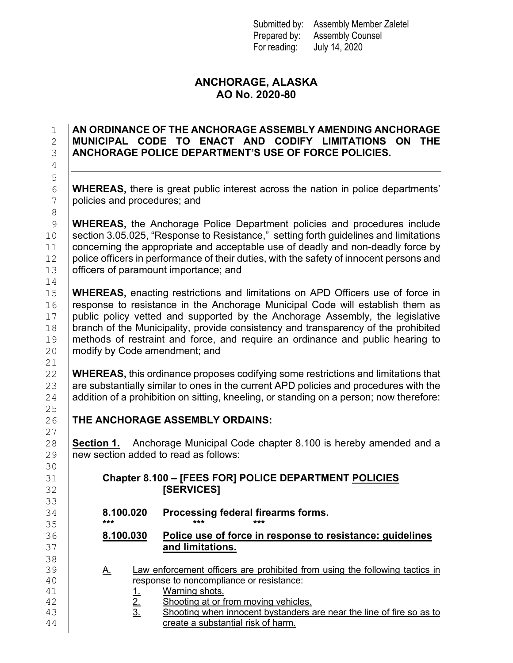Submitted by: Assembly Member Zaletel Prepared by: Assembly Counsel For reading: July 14, 2020

## **ANCHORAGE, ALASKA AO No. 2020-80**

## 1 **AN ORDINANCE OF THE ANCHORAGE ASSEMBLY AMENDING ANCHORAGE**  2 **MUNICIPAL CODE TO ENACT AND CODIFY LIMITATIONS ON THE** 3 **ANCHORAGE POLICE DEPARTMENT'S USE OF FORCE POLICIES.**

6 **WHEREAS,** there is great public interest across the nation in police departments'<br>7 **policies and procedures: and** policies and procedures; and

9 **WHEREAS,** the Anchorage Police Department policies and procedures include<br>10 section 3.05.025, "Response to Resistance," setting forth quidelines and limitations section 3.05.025, "Response to Resistance," setting forth guidelines and limitations 11 concerning the appropriate and acceptable use of deadly and non-deadly force by<br>12 police officers in performance of their duties, with the safety of innocent persons and police officers in performance of their duties, with the safety of innocent persons and 13 officers of paramount importance; and

15 **WHEREAS,** enacting restrictions and limitations on APD Officers use of force in 16 response to resistance in the Anchorage Municipal Code will establish them as 16 **response to resistance in the Anchorage Municipal Code will establish them as** 17 **public policy vetted and supported by the Anchorage Assembly, the legislative** 17 | public policy vetted and supported by the Anchorage Assembly, the legislative 18 | branch of the Municipality, provide consistency and transparency of the prohibited branch of the Municipality, provide consistency and transparency of the prohibited 19 | methods of restraint and force, and require an ordinance and public hearing to <br>20 | modify by Code amendment: and modify by Code amendment; and

22 **WHEREAS,** this ordinance proposes codifying some restrictions and limitations that <br>23 are substantially similar to ones in the current APD policies and procedures with the 23 are substantially similar to ones in the current APD policies and procedures with the  $24$  addition of a prohibition on sitting. kneeling, or standing on a person: now therefore: addition of a prohibition on sitting, kneeling, or standing on a person; now therefore:

26 **THE ANCHORAGE ASSEMBLY ORDAINS:**

28 **Section 1.** Anchorage Municipal Code chapter 8.100 is hereby amended and a 29 mew section added to read as follows: new section added to read as follows:

## 31 **Chapter 8.100 – [FEES FOR] POLICE DEPARTMENT POLICIES**  32 **[SERVICES]**

34 **8.100.020 Processing federal firearms forms.**

35 **\*\*\* \*\*\* \*\*\*** 36 **8.100.030 Police use of force in response to resistance: guidelines**  and limitations.

- 39 A. Law enforcement officers are prohibited from using the following tactics in<br>40 esponse to noncompliance or resistance: 40 response to noncompliance or resistance:
- 41 1. Warning shots.<br>42 2. Shooting at or f
- 42 2. Shooting at or from moving vehicles.<br>43 3. Shooting when innocent bystanders
- $\frac{43}{44}$  3. Shooting when innocent bystanders are near the line of fire so as to create a substantial risk of harm. create a substantial risk of harm.

14<br>15  $\frac{21}{22}$  $\frac{25}{26}$  $\frac{27}{28}$ 30<br>31 33<br>34 38<br>39

4

5

8